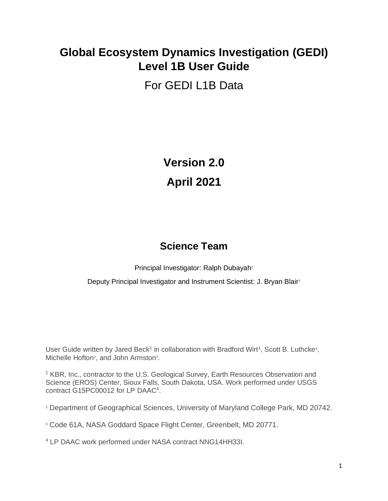# **Global Ecosystem Dynamics Investigation (GEDI) Level 1B User Guide**

# For GEDI L1B Data

**Version 2.0 April 2021**

## **Science Team**

Principal Investigator: Ralph Dubayah<sup>2</sup>

Deputy Principal Investigator and Instrument Scientist: J. Bryan Blair<sup>3</sup>

User Guide written by Jared Beck<sup>1</sup> in collaboration with Bradford Wirt<sup>1</sup>, Scott B. Luthcke<sup>3</sup>, Michelle Hofton<sup>2</sup>, and John Armston<sup>2</sup>.

<sup>1</sup> KBR, Inc., contractor to the U.S. Geological Survey, Earth Resources Observation and Science (EROS) Center, Sioux Falls, South Dakota, USA. Work performed under USGS contract G15PC00012 for LP DAAC<sup>4</sup>.

<sup>2</sup> Department of Geographical Sciences, University of Maryland College Park, MD 20742.

<sup>3</sup> Code 61A, NASA Goddard Space Flight Center, Greenbelt, MD 20771.

<sup>4</sup> LP DAAC work performed under NASA contract NNG14HH33I.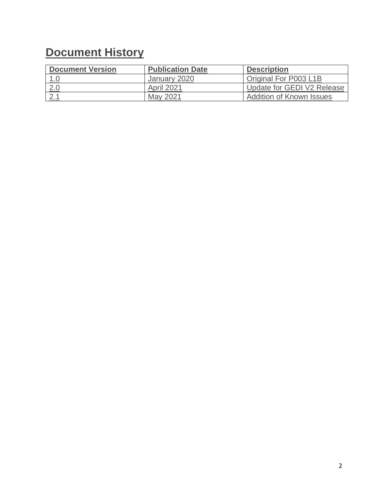# **Document History**

| <b>Document Version</b> | <b>Publication Date</b> | <b>Description</b>              |
|-------------------------|-------------------------|---------------------------------|
| 1.0                     | January 2020            | Original For P003 L1B           |
| 2.0                     | <b>April 2021</b>       | Update for GEDI V2 Release      |
|                         | May 2021                | <b>Addition of Known Issues</b> |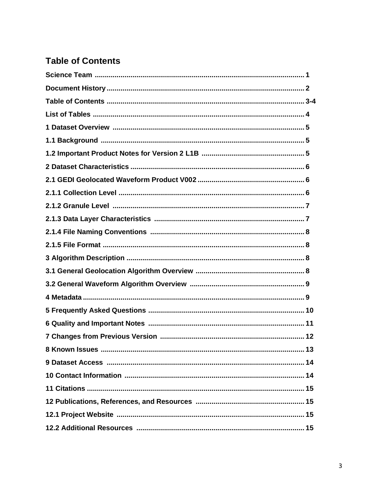### **Table of Contents**

| 1 Dataset Overview ………………………………………………………………………………………5 |  |
|-------------------------------------------------------|--|
|                                                       |  |
|                                                       |  |
|                                                       |  |
|                                                       |  |
|                                                       |  |
|                                                       |  |
|                                                       |  |
|                                                       |  |
|                                                       |  |
|                                                       |  |
|                                                       |  |
|                                                       |  |
|                                                       |  |
|                                                       |  |
|                                                       |  |
|                                                       |  |
|                                                       |  |
|                                                       |  |
|                                                       |  |
|                                                       |  |
|                                                       |  |
|                                                       |  |
|                                                       |  |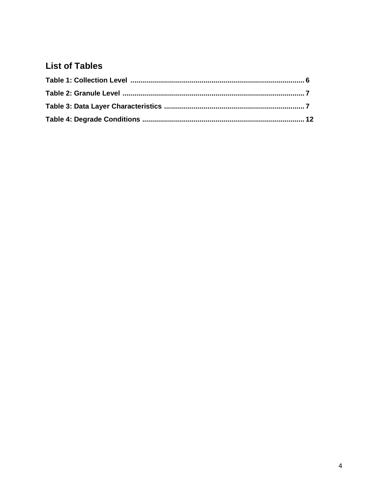### **List of Tables**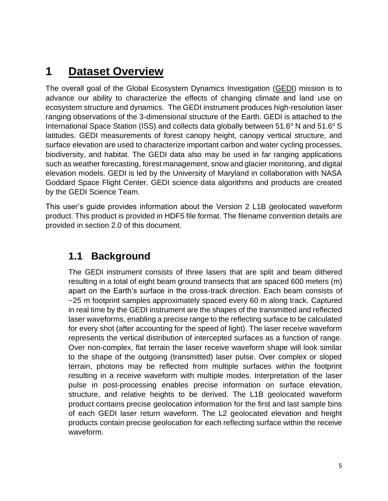# **1 Dataset Overview**

The overall goal of the Global Ecosystem Dynamics Investigation [\(GEDI\)](https://gedi.umd.edu/) mission is to advance our ability to characterize the effects of changing climate and land use on ecosystem structure and dynamics. The GEDI instrument produces high-resolution laser ranging observations of the 3-dimensional structure of the Earth. GEDI is attached to the International Space Station (ISS) and collects data globally between  $51.6^\circ$  N and  $51.6^\circ$  S latitudes. GEDI measurements of forest canopy height, canopy vertical structure, and surface elevation are used to characterize important carbon and water cycling processes, biodiversity, and habitat. The GEDI data also may be used in far ranging applications such as weather forecasting, forest management, snow and glacier monitoring, and digital elevation models. GEDI is led by the University of Maryland in collaboration with NASA Goddard Space Flight Center. GEDI science data algorithms and products are created by the GEDI Science Team.

This user's guide provides information about the Version 2 L1B geolocated waveform product. This product is provided in HDF5 file format. The filename convention details are provided in section 2.0 of this document.

### **1.1 Background**

The GEDI instrument consists of three lasers that are split and beam dithered resulting in a total of eight beam ground transects that are spaced 600 meters (m) apart on the Earth's surface in the cross-track direction. Each beam consists of ~25 m footprint samples approximately spaced every 60 m along track. Captured in real time by the GEDI instrument are the shapes of the transmitted and reflected laser waveforms, enabling a precise range to the reflecting surface to be calculated for every shot (after accounting for the speed of light). The laser receive waveform represents the vertical distribution of intercepted surfaces as a function of range. Over non-complex, flat terrain the laser receive waveform shape will look similar to the shape of the outgoing (transmitted) laser pulse. Over complex or sloped terrain, photons may be reflected from multiple surfaces within the footprint resulting in a receive waveform with multiple modes. Interpretation of the laser pulse in post-processing enables precise information on surface elevation, structure, and relative heights to be derived. The L1B geolocated waveform product contains precise geolocation information for the first and last sample bins of each GEDI laser return waveform. The L2 geolocated elevation and height products contain precise geolocation for each reflecting surface within the receive waveform.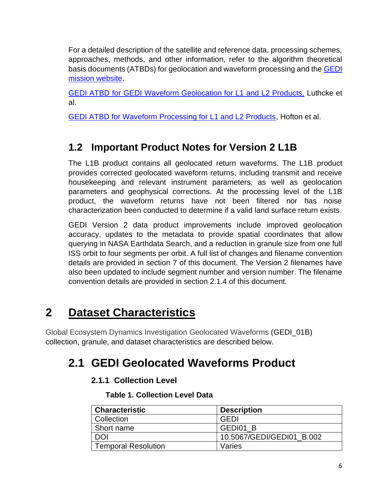For a detailed description of the satellite and reference data, processing schemes, approaches, methods, and other information, refer to the algorithm theoretical basis documents (ATBDs) for geolocation and waveform processing and the **GEDI** [mission website.](http://www.gedi.umd.edu/)

[GEDI ATBD for GEDI Waveform Geolocation for L1 and L2 Products,](https://doi.org/10.5067/DOC/GEDI/GEDI_WFGEO_ATBD.001) Luthcke et al.

[GEDI ATBD for Waveform Processing for L1 and L2 Products,](https://doi.org/10.5067/DOC/GEDI/GEDI_WF_ATBD.001) Hofton et al.

## **1.2 Important Product Notes for Version 2 L1B**

The L1B product contains all geolocated return waveforms. The L1B product provides corrected geolocated waveform returns, including transmit and receive housekeeping and relevant instrument parameters, as well as geolocation parameters and geophysical corrections. At the processing level of the L1B product, the waveform returns have not been filtered nor has noise characterization been conducted to determine if a valid land surface return exists.

GEDI Version 2 data product improvements include improved geolocation accuracy, updates to the metadata to provide spatial coordinates that allow querying in NASA Earthdata Search, and a reduction in granule size from one full ISS orbit to four segments per orbit. A full list of changes and filename convention details are provided in section 7 of this document. The Version 2 filenames have also been updated to include segment number and version number. The filename convention details are provided in section 2.1.4 of this document.

# **2 Dataset Characteristics**

Global Ecosystem Dynamics Investigation Geolocated Waveforms (GEDI\_01B) collection, granule, and dataset characteristics are described below.

# **2.1 GEDI Geolocated Waveforms Product**

### **2.1.1 Collection Level**

**Table 1. Collection Level Data**

| <b>Characteristic</b>      | <b>Description</b>        |
|----------------------------|---------------------------|
| Collection                 | GEDI                      |
| Short name                 | GEDI01 B                  |
| DOI                        | 10.5067/GEDI/GEDI01 B.002 |
| <b>Temporal Resolution</b> | Varies                    |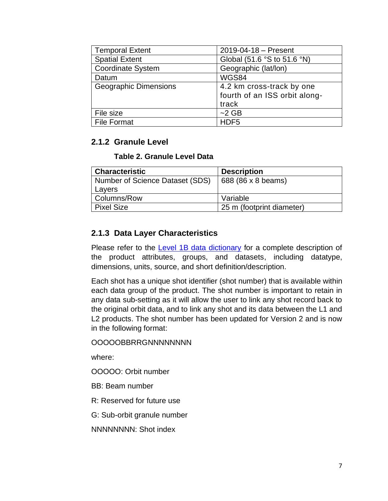| <b>Temporal Extent</b>       | $2019 - 04 - 18 -$ Present    |
|------------------------------|-------------------------------|
| <b>Spatial Extent</b>        | Global (51.6 °S to 51.6 °N)   |
| <b>Coordinate System</b>     | Geographic (lat/lon)          |
| Datum                        | WGS84                         |
| <b>Geographic Dimensions</b> | 4.2 km cross-track by one     |
|                              | fourth of an ISS orbit along- |
|                              | track                         |
| File size                    | $~2$ GB                       |
| <b>File Format</b>           | HDF <sub>5</sub>              |

### **2.1.2 Granule Level**

#### **Table 2. Granule Level Data**

| <b>Characteristic</b>           | <b>Description</b>        |
|---------------------------------|---------------------------|
| Number of Science Dataset (SDS) | 688 (86 x 8 beams)        |
| Layers                          |                           |
| Columns/Row                     | Variable                  |
| <b>Pixel Size</b>               | 25 m (footprint diameter) |

### **2.1.3 Data Layer Characteristics**

Please refer to the **Level 1B data dictionary** for a complete description of the product attributes, groups, and datasets, including datatype, dimensions, units, source, and short definition/description.

Each shot has a unique shot identifier (shot number) that is available within each data group of the product. The shot number is important to retain in any data sub-setting as it will allow the user to link any shot record back to the original orbit data, and to link any shot and its data between the L1 and L2 products. The shot number has been updated for Version 2 and is now in the following format:

#### OOOOOBBRRGNNNNNNNN

where:

OOOOO: Orbit number

- BB: Beam number
- R: Reserved for future use

G: Sub-orbit granule number

NNNNNNNN: Shot index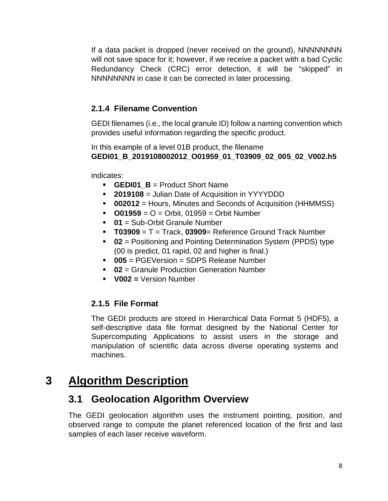If a data packet is dropped (never received on the ground), NNNNNNNN will not save space for it; however, if we receive a packet with a bad Cyclic Redundancy Check (CRC) error detection, it will be "skipped" in NNNNNNNN in case it can be corrected in later processing.

### **2.1.4 Filename Convention**

GEDI filenames (i.e., the local granule ID) follow a naming convention which provides useful information regarding the specific product.

In this example of a level 01B product, the filename **GEDI01\_B\_2019108002012\_O01959\_01\_T03909\_02\_005\_02\_V002.h5**

indicates:

- **GEDI01 B** = Product Short Name
- **2019108** = Julian Date of Acquisition in YYYYDDD
- **002012** = Hours, Minutes and Seconds of Acquisition (HHMMSS)
- **O01959** = O = Orbit, 01959 = Orbit Number
- **01** = Sub-Orbit Granule Number
- **T03909** = T = Track, **03909**= Reference Ground Track Number
- **02** = Positioning and Pointing Determination System (PPDS) type (00 is predict, 01 rapid, 02 and higher is final.)
- **005** = PGEVersion = SDPS Release Number
- **02** = Granule Production Generation Number
- **V002 =** Version Number

### **2.1.5 File Format**

The GEDI products are stored in Hierarchical Data Format 5 (HDF5), a self-descriptive data file format designed by the National Center for Supercomputing Applications to assist users in the storage and manipulation of scientific data across diverse operating systems and machines.

# **3 Algorithm Description**

### **3.1 Geolocation Algorithm Overview**

The GEDI geolocation algorithm uses the instrument pointing, position, and observed range to compute the planet referenced location of the first and last samples of each laser receive waveform.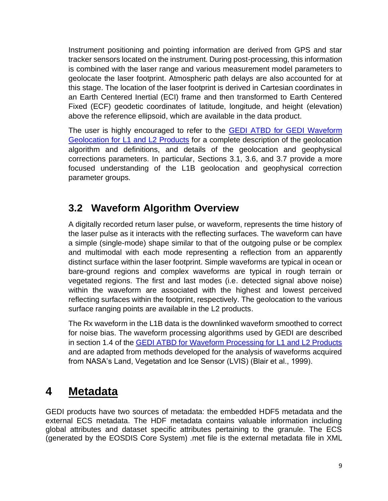Instrument positioning and pointing information are derived from GPS and star tracker sensors located on the instrument. During post-processing, this information is combined with the laser range and various measurement model parameters to geolocate the laser footprint. Atmospheric path delays are also accounted for at this stage. The location of the laser footprint is derived in Cartesian coordinates in an Earth Centered Inertial (ECI) frame and then transformed to Earth Centered Fixed (ECF) geodetic coordinates of latitude, longitude, and height (elevation) above the reference ellipsoid, which are available in the data product.

The user is highly encouraged to refer to the [GEDI ATBD for GEDI Waveform](https://doi.org/10.5067/DOC/GEDI/GEDI_WFGEO_ATBD.001)  [Geolocation for L1 and L2 Products](https://doi.org/10.5067/DOC/GEDI/GEDI_WFGEO_ATBD.001) for a complete description of the geolocation algorithm and definitions, and details of the geolocation and geophysical corrections parameters. In particular, Sections 3.1, 3.6, and 3.7 provide a more focused understanding of the L1B geolocation and geophysical correction parameter groups.

## **3.2 Waveform Algorithm Overview**

A digitally recorded return laser pulse, or waveform, represents the time history of the laser pulse as it interacts with the reflecting surfaces. The waveform can have a simple (single-mode) shape similar to that of the outgoing pulse or be complex and multimodal with each mode representing a reflection from an apparently distinct surface within the laser footprint. Simple waveforms are typical in ocean or bare-ground regions and complex waveforms are typical in rough terrain or vegetated regions. The first and last modes (i.e. detected signal above noise) within the waveform are associated with the highest and lowest perceived reflecting surfaces within the footprint, respectively. The geolocation to the various surface ranging points are available in the L2 products.

The Rx waveform in the L1B data is the downlinked waveform smoothed to correct for noise bias. The waveform processing algorithms used by GEDI are described in section 1.4 of the [GEDI ATBD for Waveform Processing for L1 and L2 Products](https://doi.org/10.5067/DOC/GEDI/GEDI_WF_ATBD.001) and are adapted from methods developed for the analysis of waveforms acquired from NASA's Land, Vegetation and Ice Sensor (LVIS) (Blair et al., 1999).

# **4 Metadata**

GEDI products have two sources of metadata: the embedded HDF5 metadata and the external ECS metadata. The HDF metadata contains valuable information including global attributes and dataset specific attributes pertaining to the granule. The ECS (generated by the EOSDIS Core System) .met file is the external metadata file in XML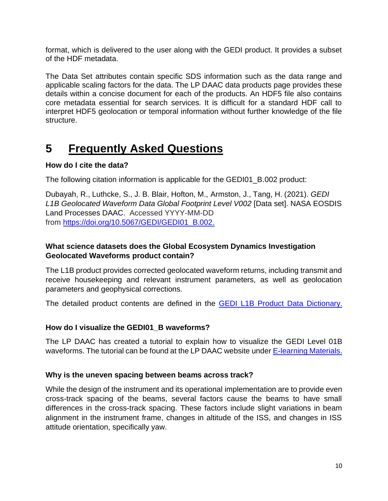format, which is delivered to the user along with the GEDI product. It provides a subset of the HDF metadata.

The Data Set attributes contain specific SDS information such as the data range and applicable scaling factors for the data. The LP DAAC data products page provides these details within a concise document for each of the products. An HDF5 file also contains core metadata essential for search services. It is difficult for a standard HDF call to interpret HDF5 geolocation or temporal information without further knowledge of the file structure.

# **5 Frequently Asked Questions**

### **How do I cite the data?**

The following citation information is applicable for the GEDI01\_B.002 product:

Dubayah, R., Luthcke, S., J. B. Blair, Hofton, M., Armston, J., Tang, H. (2021). *GEDI L1B Geolocated Waveform Data Global Footprint Level V002* [Data set]. NASA EOSDIS Land Processes DAAC. Accessed YYYY-MM-DD from [https://doi.org/10.5067/GEDI/GEDI01\\_B.002.](https://doi.org/10.5067/GEDI/GEDI01_B.002)

#### **What science datasets does the Global Ecosystem Dynamics Investigation Geolocated Waveforms product contain?**

The L1B product provides corrected geolocated waveform returns, including transmit and receive housekeeping and relevant instrument parameters, as well as geolocation parameters and geophysical corrections.

The detailed product contents are defined in the [GEDI L1B Product Data Dictionary](https://lpdaac.usgs.gov/documents/981/gedi_l1b_dictionary_P003_v2.html).

### **How do I visualize the GEDI01\_B waveforms?**

The LP DAAC has created a tutorial to explain how to visualize the GEDI Level 01B waveforms. The tutorial can be found at the LP DAAC website under **E-learning Materials.** 

#### **Why is the uneven spacing between beams across track?**

While the design of the instrument and its operational implementation are to provide even cross-track spacing of the beams, several factors cause the beams to have small differences in the cross-track spacing. These factors include slight variations in beam alignment in the instrument frame, changes in altitude of the ISS, and changes in ISS attitude orientation, specifically yaw.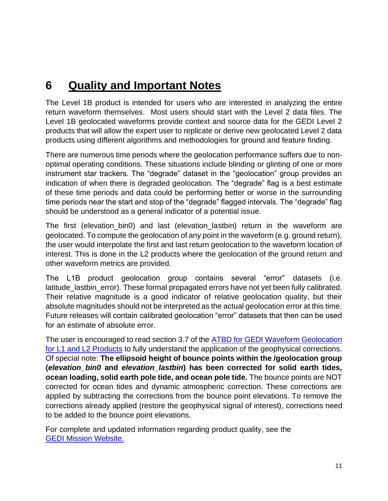# **6 Quality and Important Notes**

The Level 1B product is intended for users who are interested in analyzing the entire return waveform themselves. Most users should start with the Level 2 data files. The Level 1B geolocated waveforms provide context and source data for the GEDI Level 2 products that will allow the expert user to replicate or derive new geolocated Level 2 data products using different algorithms and methodologies for ground and feature finding.

There are numerous time periods where the geolocation performance suffers due to nonoptimal operating conditions. These situations include blinding or glinting of one or more instrument star trackers. The "degrade" dataset in the "geolocation" group provides an indication of when there is degraded geolocation. The "degrade" flag is a best estimate of these time periods and data could be performing better or worse in the surrounding time periods near the start and stop of the "degrade" flagged intervals. The "degrade" flag should be understood as a general indicator of a potential issue.

The first (elevation\_bin0) and last (elevation\_lastbin) return in the waveform are geolocated. To compute the geolocation of any point in the waveform (e.g. ground return), the user would interpolate the first and last return geolocation to the waveform location of interest. This is done in the L2 products where the geolocation of the ground return and other waveform metrics are provided.

The L1B product geolocation group contains several "error" datasets (i.e. latitude\_lastbin\_error). These formal propagated errors have not yet been fully calibrated. Their relative magnitude is a good indicator of relative geolocation quality, but their absolute magnitudes should not be interpreted as the actual geolocation error at this time. Future releases will contain calibrated geolocation "error" datasets that then can be used for an estimate of absolute error.

The user is encouraged to read section 3.7 of the **ATBD** for GEDI Waveform Geolocation [for L1 and L2 Products](https://doi.org/10.5067/DOC/GEDI/GEDI_WFGEO_ATBD.001) to fully understand the application of the geophysical corrections. Of special note: **The ellipsoid height of bounce points within the /geolocation group (***elevation\_bin0* **and** *elevation\_lastbin***) has been corrected for solid earth tides, ocean loading, solid earth pole tide, and ocean pole tide.** The bounce points are NOT corrected for ocean tides and dynamic atmospheric correction. These corrections are applied by subtracting the corrections from the bounce point elevations. To remove the corrections already applied (restore the geophysical signal of interest), corrections need to be added to the bounce point elevations.

For complete and updated information regarding product quality, see the [GEDI Mission](https://gedi.umd.edu/) Website.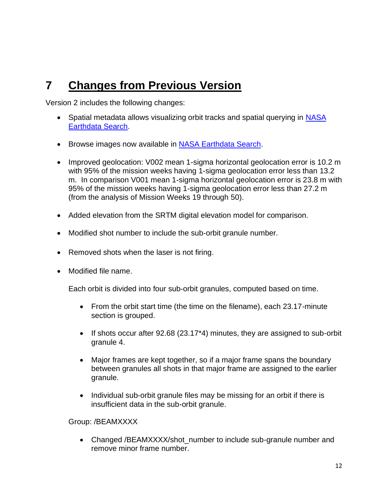# **7 Changes from Previous Version**

Version 2 includes the following changes:

- Spatial metadata allows visualizing orbit tracks and spatial querying in NASA [Earthdata Search.](https://search.earthdata.nasa.gov/search?q=GEDI01_B)
- Browse images now available in **NASA Earthdata Search**.
- Improved geolocation: V002 mean 1-sigma horizontal geolocation error is 10.2 m with 95% of the mission weeks having 1-sigma geolocation error less than 13.2 m. In comparison V001 mean 1-sigma horizontal geolocation error is 23.8 m with 95% of the mission weeks having 1-sigma geolocation error less than 27.2 m (from the analysis of Mission Weeks 19 through 50).
- Added elevation from the SRTM digital elevation model for comparison.
- Modified shot number to include the sub-orbit granule number.
- Removed shots when the laser is not firing.
- Modified file name.

Each orbit is divided into four sub-orbit granules, computed based on time.

- From the orbit start time (the time on the filename), each 23.17-minute section is grouped.
- If shots occur after 92.68 (23.17\*4) minutes, they are assigned to sub-orbit granule 4.
- Major frames are kept together, so if a major frame spans the boundary between granules all shots in that major frame are assigned to the earlier granule.
- Individual sub-orbit granule files may be missing for an orbit if there is insufficient data in the sub-orbit granule.

Group: /BEAMXXXX

• Changed /BEAMXXXX/shot number to include sub-granule number and remove minor frame number.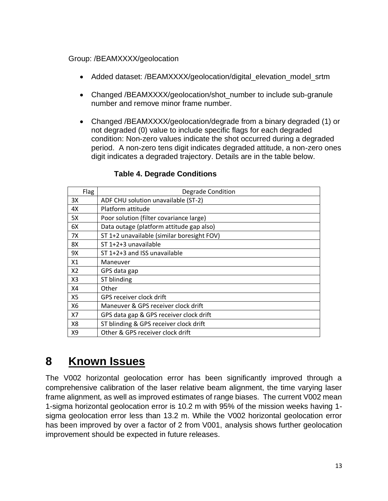#### Group: /BEAMXXXX/geolocation

- Added dataset: /BEAMXXXX/geolocation/digital elevation model srtm
- Changed /BEAMXXXX/geolocation/shot\_number to include sub-granule number and remove minor frame number.
- Changed /BEAMXXXX/geolocation/degrade from a binary degraded (1) or not degraded (0) value to include specific flags for each degraded condition: Non-zero values indicate the shot occurred during a degraded period. A non-zero tens digit indicates degraded attitude, a non-zero ones digit indicates a degraded trajectory. Details are in the table below.

|                | Flag | <b>Degrade Condition</b>                   |
|----------------|------|--------------------------------------------|
| 3Х             |      | ADF CHU solution unavailable (ST-2)        |
| 4X             |      | Platform attitude                          |
| 5X             |      | Poor solution (filter covariance large)    |
| 6X             |      | Data outage (platform attitude gap also)   |
| 7X             |      | ST 1+2 unavailable (similar boresight FOV) |
| 8X             |      | ST 1+2+3 unavailable                       |
| 9X             |      | ST 1+2+3 and ISS unavailable               |
| X1             |      | Maneuver                                   |
| X2             |      | GPS data gap                               |
| X <sub>3</sub> |      | ST blinding                                |
| X4             |      | Other                                      |
| X5             |      | GPS receiver clock drift                   |
| X6             |      | Maneuver & GPS receiver clock drift        |
| X7             |      | GPS data gap & GPS receiver clock drift    |
| X8             |      | ST blinding & GPS receiver clock drift     |
| X9             |      | Other & GPS receiver clock drift           |

### **Table 4. Degrade Conditions**

## **8 Known Issues**

The V002 horizontal geolocation error has been significantly improved through a comprehensive calibration of the laser relative beam alignment, the time varying laser frame alignment, as well as improved estimates of range biases. The current V002 mean 1-sigma horizontal geolocation error is 10.2 m with 95% of the mission weeks having 1 sigma geolocation error less than 13.2 m. While the V002 horizontal geolocation error has been improved by over a factor of 2 from V001, analysis shows further geolocation improvement should be expected in future releases.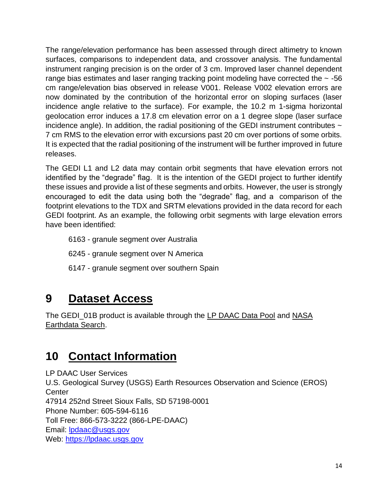The range/elevation performance has been assessed through direct altimetry to known surfaces, comparisons to independent data, and crossover analysis. The fundamental instrument ranging precision is on the order of 3 cm. Improved laser channel dependent range bias estimates and laser ranging tracking point modeling have corrected the  $\sim$  -56 cm range/elevation bias observed in release V001. Release V002 elevation errors are now dominated by the contribution of the horizontal error on sloping surfaces (laser incidence angle relative to the surface). For example, the 10.2 m 1-sigma horizontal geolocation error induces a 17.8 cm elevation error on a 1 degree slope (laser surface incidence angle). In addition, the radial positioning of the GEDI instrument contributes  $\sim$ 7 cm RMS to the elevation error with excursions past 20 cm over portions of some orbits. It is expected that the radial positioning of the instrument will be further improved in future releases.

The GEDI L1 and L2 data may contain orbit segments that have elevation errors not identified by the "degrade" flag. It is the intention of the GEDI project to further identify these issues and provide a list of these segments and orbits. However, the user is strongly encouraged to edit the data using both the "degrade" flag, and a comparison of the footprint elevations to the TDX and SRTM elevations provided in the data record for each GEDI footprint. As an example, the following orbit segments with large elevation errors have been identified:

- 6163 granule segment over Australia
- 6245 granule segment over N America
- 6147 granule segment over southern Spain

# **9 Dataset Access**

The GEDI\_01B product is available through the [LP DAAC Data Pool](https://lpdaac.usgs.gov/tools/data-pool/) and NASA [Earthdata Search.](https://search.earthdata.nasa.gov/search?q=GEDI01_B)

# **10 Contact Information**

LP DAAC User Services U.S. Geological Survey (USGS) Earth Resources Observation and Science (EROS) **Center** 47914 252nd Street Sioux Falls, SD 57198-0001 Phone Number: 605-594-6116 Toll Free: 866-573-3222 (866-LPE-DAAC) Email: [lpdaac@usgs.gov](mailto:lpdaac@usgs.gov) Web: [https://lpdaac.usgs.gov](https://lpdaac.usgs.gov/)